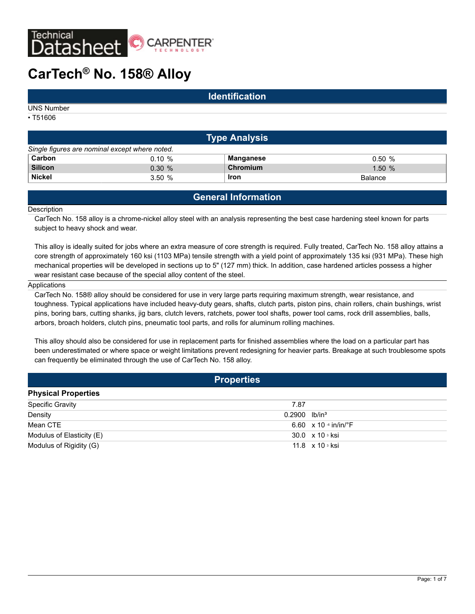

# **CarTech® No. 158® Alloy**

## **Identification**

UNS Number

• T51606

| <b>Type Analysis</b>                           |           |             |                |  |
|------------------------------------------------|-----------|-------------|----------------|--|
| Single figures are nominal except where noted. |           |             |                |  |
| Carbon                                         | $0.10 \%$ | Manganese   | 0.50%          |  |
| <b>Silicon</b>                                 | $0.30 \%$ | Chromium    | 1.50%          |  |
| <b>Nickel</b>                                  | 3.50%     | <b>Iron</b> | <b>Balance</b> |  |

# **General Information**

#### **Description**

CarTech No. 158 alloy is a chrome-nickel alloy steel with an analysis representing the best case hardening steel known for parts subject to heavy shock and wear.

This alloy is ideally suited for jobs where an extra measure of core strength is required. Fully treated, CarTech No. 158 alloy attains a core strength of approximately 160 ksi (1103 MPa) tensile strength with a yield point of approximately 135 ksi (931 MPa). These high mechanical properties will be developed in sections up to 5" (127 mm) thick. In addition, case hardened articles possess a higher wear resistant case because of the special alloy content of the steel.

#### Applications

CarTech No. 158® alloy should be considered for use in very large parts requiring maximum strength, wear resistance, and toughness. Typical applications have included heavy-duty gears, shafts, clutch parts, piston pins, chain rollers, chain bushings, wrist pins, boring bars, cutting shanks, jig bars, clutch levers, ratchets, power tool shafts, power tool cams, rock drill assemblies, balls, arbors, broach holders, clutch pins, pneumatic tool parts, and rolls for aluminum rolling machines.

This alloy should also be considered for use in replacement parts for finished assemblies where the load on a particular part has been underestimated or where space or weight limitations prevent redesigning for heavier parts. Breakage at such troublesome spots can frequently be eliminated through the use of CarTech No. 158 alloy.

| <b>Properties</b>          |                                           |  |
|----------------------------|-------------------------------------------|--|
| <b>Physical Properties</b> |                                           |  |
| <b>Specific Gravity</b>    | 7.87                                      |  |
| Density                    | $0.2900$ lb/in <sup>3</sup>               |  |
| Mean CTE                   | 6.60 $\times$ 10 $\cdot$ in/in/ $\cdot$ F |  |
| Modulus of Elasticity (E)  | 30.0 x 10 s ksi                           |  |
| Modulus of Rigidity (G)    | 11.8 $\times$ 10 $\frac{3}{10}$ ksi       |  |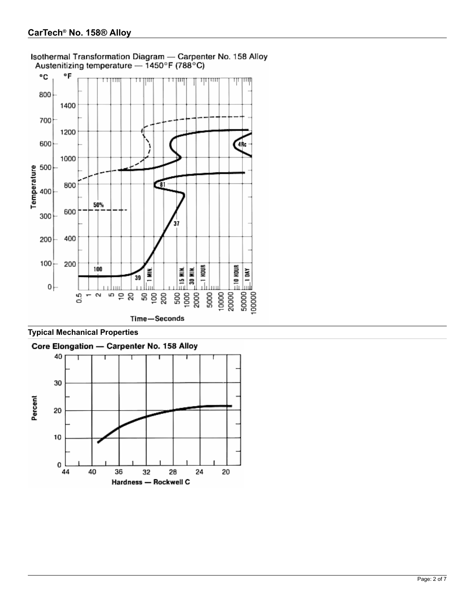

Isothermal Transformation Diagram - Carpenter No. 158 Alloy Austenitizing temperature - 1450°F (788°C)

**Typical Mechanical Properties**

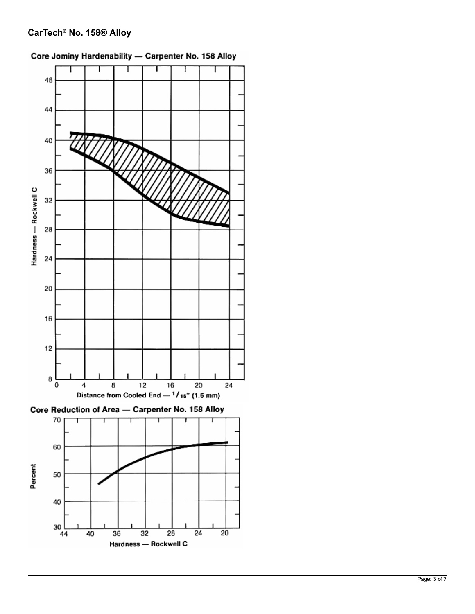Hardness - Rockwell C

 $\overline{20}$ 



# Core Jominy Hardenability - Carpenter No. 158 Alloy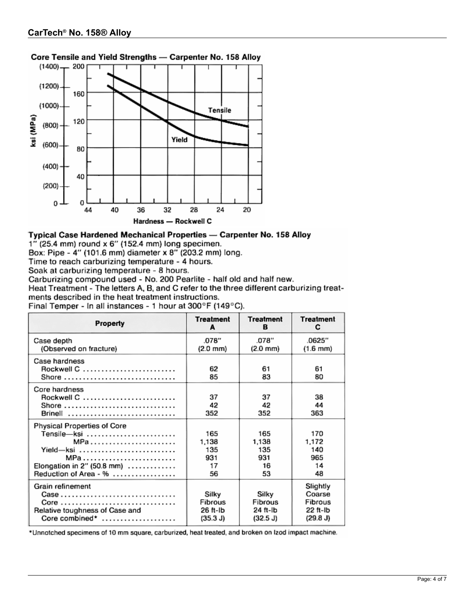



## Typical Case Hardened Mechanical Properties - Carpenter No. 158 Alloy

 $1''$  (25.4 mm) round x 6" (152.4 mm) long specimen.

Box: Pipe - 4" (101.6 mm) diameter x 8" (203.2 mm) long.

Time to reach carburizing temperature - 4 hours.

Soak at carburizing temperature - 8 hours.

Carburizing compound used - No. 200 Pearlite - half old and half new.

Heat Treatment - The letters A. B. and C refer to the three different carburizing treatments described in the heat treatment instructions.

Final Temper - In all instances - 1 hour at 300°F (149°C).

| Property                                                                                                                              | <b>Treatment</b><br>A                    | <b>Treatment</b><br>в                    | <b>Treatment</b><br>с                                 |
|---------------------------------------------------------------------------------------------------------------------------------------|------------------------------------------|------------------------------------------|-------------------------------------------------------|
| Case depth<br>(Observed on fracture)                                                                                                  | .078"<br>$(2.0 \text{ mm})$              | .078"<br>$(2.0 \text{ mm})$              | .0625"<br>$(1.6 \text{ mm})$                          |
| Case hardness<br>Rockwell C<br>Shore                                                                                                  | 62<br>85                                 | 61<br>83                                 | 61<br>80                                              |
| Core hardness<br>Rockwell C<br>Shore $\ldots \ldots \ldots \ldots \ldots \ldots \ldots \ldots \ldots$<br>Brinell                      | 37<br>42<br>352                          | 37<br>42<br>352                          | 38<br>44<br>363                                       |
| Physical Properties of Core<br>Tensile-ksi<br>MPa<br>Yield-ksi<br>MPa<br>Elongation in 2" (50.8 mm) $\ldots$<br>Reduction of Area - % | 165<br>1,138<br>135<br>931<br>17<br>56   | 165<br>1,138<br>135<br>931<br>16<br>53   | 170<br>1,172<br>140<br>965<br>14<br>48                |
| Grain refinement<br>Core<br>Relative toughness of Case and<br>Core combined*                                                          | Silky<br>Fibrous<br>26 ft-Ib<br>(35.3 J) | Silky<br>Fibrous<br>24 ft-lb<br>(32.5 J) | Slightly<br>Coarse<br>Fibrous<br>22 ft-Ib<br>(29.8 J) |

\*Unnotched specimens of 10 mm square, carburized, heat treated, and broken on Izod impact machine.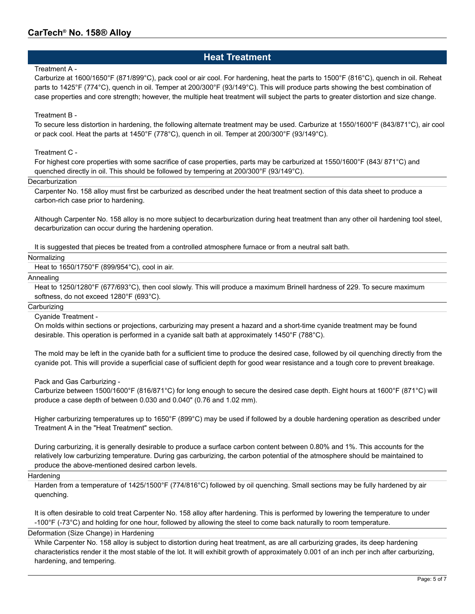# **Heat Treatment**

#### Treatment A -

Carburize at 1600/1650°F (871/899°C), pack cool or air cool. For hardening, heat the parts to 1500°F (816°C), quench in oil. Reheat parts to 1425°F (774°C), quench in oil. Temper at 200/300°F (93/149°C). This will produce parts showing the best combination of case properties and core strength; however, the multiple heat treatment will subject the parts to greater distortion and size change.

### Treatment B -

To secure less distortion in hardening, the following alternate treatment may be used. Carburize at 1550/1600°F (843/871°C), air cool or pack cool. Heat the parts at 1450°F (778°C), quench in oil. Temper at 200/300°F (93/149°C).

### Treatment C -

For highest core properties with some sacrifice of case properties, parts may be carburized at 1550/1600°F (843/ 871°C) and quenched directly in oil. This should be followed by tempering at 200/300°F (93/149°C).

#### **Decarburization**

Carpenter No. 158 alloy must first be carburized as described under the heat treatment section of this data sheet to produce a carbon-rich case prior to hardening.

Although Carpenter No. 158 alloy is no more subject to decarburization during heat treatment than any other oil hardening tool steel, decarburization can occur during the hardening operation.

It is suggested that pieces be treated from a controlled atmosphere furnace or from a neutral salt bath.

#### Normalizing

Heat to 1650/1750°F (899/954°C), cool in air.

#### Annealing

Heat to 1250/1280°F (677/693°C), then cool slowly. This will produce a maximum Brinell hardness of 229. To secure maximum softness, do not exceed 1280°F (693°C).

#### **Carburizing**

Cyanide Treatment -

On molds within sections or projections, carburizing may present a hazard and a short-time cyanide treatment may be found desirable. This operation is performed in a cyanide salt bath at approximately 1450°F (788°C).

The mold may be left in the cyanide bath for a sufficient time to produce the desired case, followed by oil quenching directly from the cyanide pot. This will provide a superficial case of sufficient depth for good wear resistance and a tough core to prevent breakage.

#### Pack and Gas Carburizing -

Carburize between 1500/1600°F (816/871°C) for long enough to secure the desired case depth. Eight hours at 1600°F (871°C) will produce a case depth of between 0.030 and 0.040" (0.76 and 1.02 mm).

Higher carburizing temperatures up to 1650°F (899°C) may be used if followed by a double hardening operation as described under Treatment A in the "Heat Treatment" section.

During carburizing, it is generally desirable to produce a surface carbon content between 0.80% and 1%. This accounts for the relatively low carburizing temperature. During gas carburizing, the carbon potential of the atmosphere should be maintained to produce the above-mentioned desired carbon levels.

#### Hardening

Harden from a temperature of 1425/1500°F (774/816°C) followed by oil quenching. Small sections may be fully hardened by air quenching.

It is often desirable to cold treat Carpenter No. 158 alloy after hardening. This is performed by lowering the temperature to under -100°F (-73°C) and holding for one hour, followed by allowing the steel to come back naturally to room temperature.

## Deformation (Size Change) in Hardening

While Carpenter No. 158 alloy is subject to distortion during heat treatment, as are all carburizing grades, its deep hardening characteristics render it the most stable of the lot. It will exhibit growth of approximately 0.001 of an inch per inch after carburizing, hardening, and tempering.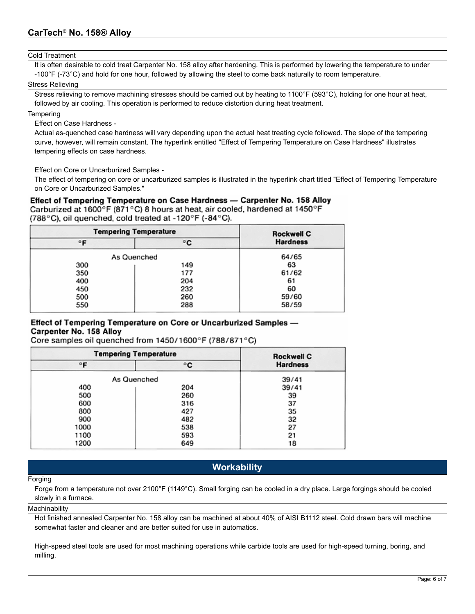#### Cold Treatment

It is often desirable to cold treat Carpenter No. 158 alloy after hardening. This is performed by lowering the temperature to under -100°F (-73°C) and hold for one hour, followed by allowing the steel to come back naturally to room temperature.

#### Stress Relieving

Stress relieving to remove machining stresses should be carried out by heating to 1100°F (593°C), holding for one hour at heat, followed by air cooling. This operation is performed to reduce distortion during heat treatment.

#### **Tempering**

Effect on Case Hardness -

Actual as-quenched case hardness will vary depending upon the actual heat treating cycle followed. The slope of the tempering curve, however, will remain constant. The hyperlink entitled "Effect of Tempering Temperature on Case Hardness" illustrates tempering effects on case hardness.

Effect on Core or Uncarburized Samples -

The effect of tempering on core or uncarburized samples is illustrated in the hyperlink chart titled "Effect of Tempering Temperature on Core or Uncarburized Samples."

Effect of Tempering Temperature on Case Hardness - Carpenter No. 158 Alloy Carburized at 1600°F (871°C) 8 hours at heat, air cooled, hardened at 1450°F (788°C), oil quenched, cold treated at -120°F (-84°C).

| <b>Tempering Temperature</b> |             | <b>Rockwell C</b> |
|------------------------------|-------------|-------------------|
| $\circ$ F                    | °C          | <b>Hardness</b>   |
|                              | As Quenched | 64/65             |
| 300                          | 149         | 63                |
| 350                          | 177         | 61/62             |
| 400                          | 204         | 61                |
| 450                          | 232         | 60                |
| 500                          | 260         | 59/60             |
| 550                          | 288         | 58/59             |

## Effect of Tempering Temperature on Core or Uncarburized Samples -Carpenter No. 158 Alloy

Core samples oil quenched from 1450/1600°F (788/871°C)

| <b>Tempering Temperature</b> |             | <b>Rockwell C</b> |
|------------------------------|-------------|-------------------|
| °F                           | °C          | <b>Hardness</b>   |
|                              | As Quenched | 39/41             |
| 400                          | 204         | 39/41             |
| 500                          | 260         | 39                |
| 600                          | 316         | 37                |
| 800                          | 427         | 35                |
| 900                          | 482         | 32                |
| 1000                         | 538         | 27                |
| 1100                         | 593         | 21                |
| 1200                         | 649         | 18                |

# **Workability**

#### Forging

Forge from a temperature not over 2100°F (1149°C). Small forging can be cooled in a dry place. Large forgings should be cooled slowly in a furnace.

#### **Machinability**

Hot finished annealed Carpenter No. 158 alloy can be machined at about 40% of AISI B1112 steel. Cold drawn bars will machine somewhat faster and cleaner and are better suited for use in automatics.

High-speed steel tools are used for most machining operations while carbide tools are used for high-speed turning, boring, and milling.